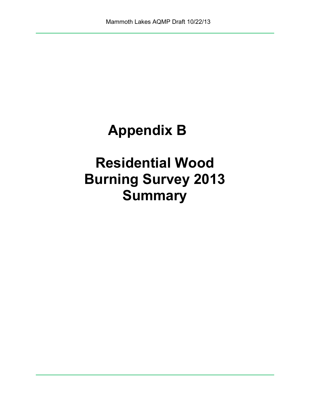# **Appendix B**

# **Residential Wood Burning Survey 2013 Summary**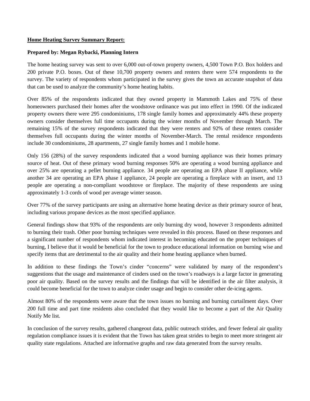#### **Home Heating Survey Summary Report:**

#### **Prepared by: Megan Rybacki, Planning Intern**

The home heating survey was sent to over 6,000 out-of-town property owners, 4,500 Town P.O. Box holders and 200 private P.O. boxes. Out of these 10,700 property owners and renters there were 574 respondents to the survey. The variety of respondents whom participated in the survey gives the town an accurate snapshot of data that can be used to analyze the community's home heating habits.

Over 85% of the respondents indicated that they owned property in Mammoth Lakes and 75% of these homeowners purchased their homes after the woodstove ordinance was put into effect in 1990. Of the indicated property owners there were 295 condominiums, 178 single family homes and approximately 44% these property owners consider themselves full time occupants during the winter months of November through March. The remaining 15% of the survey respondents indicated that they were renters and 92% of these renters consider themselves full occupants during the winter months of November-March. The rental residence respondents include 30 condominiums, 28 apartments, 27 single family homes and 1 mobile home.

Only 156 (28%) of the survey respondents indicated that a wood burning appliance was their homes primary source of heat. Out of these primary wood burning responses 50% are operating a wood burning appliance and over 25% are operating a pellet burning appliance. 34 people are operating an EPA phase II appliance, while another 34 are operating an EPA phase I appliance, 24 people are operating a fireplace with an insert, and 13 people are operating a non-compliant woodstove or fireplace. The majority of these respondents are using approximately 1-3 cords of wood per average winter season.

Over 77% of the survey participants are using an alternative home heating device as their primary source of heat, including various propane devices as the most specified appliance.

General findings show that 93% of the respondents are only burning dry wood, however 3 respondents admitted to burning their trash. Other poor burning techniques were revealed in this process. Based on these responses and a significant number of respondents whom indicated interest in becoming educated on the proper techniques of burning, I believe that it would be beneficial for the town to produce educational information on burning wise and specify items that are detrimental to the air quality and their home heating appliance when burned.

In addition to these findings the Town's cinder "concerns" were validated by many of the respondent's suggestions that the usage and maintenance of cinders used on the town's roadways is a large factor in generating poor air quality. Based on the survey results and the findings that will be identified in the air filter analysis, it could become beneficial for the town to analyze cinder usage and begin to consider other de-icing agents.

Almost 80% of the respondents were aware that the town issues no burning and burning curtailment days. Over 200 full time and part time residents also concluded that they would like to become a part of the Air Quality Notify Me list.

In conclusion of the survey results, gathered changeout data, public outreach strides, and fewer federal air quality regulation compliance issues it is evident that the Town has taken great strides to begin to meet more stringent air quality state regulations. Attached are informative graphs and raw data generated from the survey results.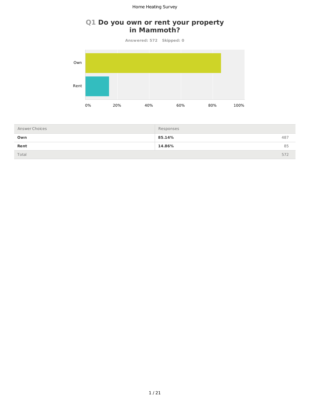# **Q1 Do you own or rent your property in Mammoth?**

**Answered: 572 Skipped: 0**



| Answer Choices | Responses |     |
|----------------|-----------|-----|
| Own            | 85.14%    | 487 |
| Rent           | 14.86%    | 85  |
| Total          |           | 572 |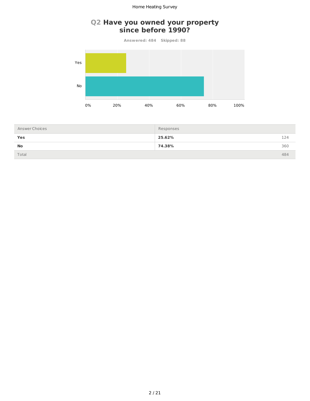#### **Q2 Have you owned your property since before 1990?**

**Answered: 484 Skipped: 88**



| Answer Choices | Responses |     |
|----------------|-----------|-----|
| Yes            | 25.62%    | 124 |
| <b>No</b>      | 74.38%    | 360 |
| Total          |           | 484 |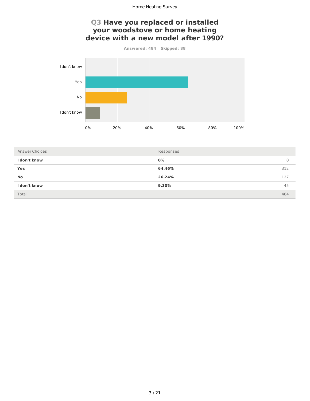#### **Q3 Have you replaced or installed your woodstove or home heating** device with a new model after 1990?

**Answered: 484 Skipped: 88**



| Answer Choices | Responses |     |
|----------------|-----------|-----|
| I don't know   | 0%        | 0   |
| Yes            | 64.46%    | 312 |
| <b>No</b>      | 26.24%    | 127 |
| I don't know   | $9.30\%$  | 45  |
| Total          |           | 484 |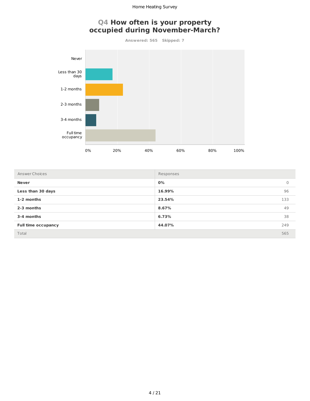# **Q4 How often is your property occupied during November-March?**

**Answered: 565 Skipped: 7**



| Answer Choices             | Responses |     |
|----------------------------|-----------|-----|
| <b>Never</b>               | 0%        | 0   |
| Less than 30 days          | 16.99%    | 96  |
| 1-2 months                 | 23.54%    | 133 |
| 2-3 months                 | 8.67%     | 49  |
| 3-4 months                 | 6.73%     | 38  |
| <b>Full time occupancy</b> | 44.07%    | 249 |
| Total                      |           | 565 |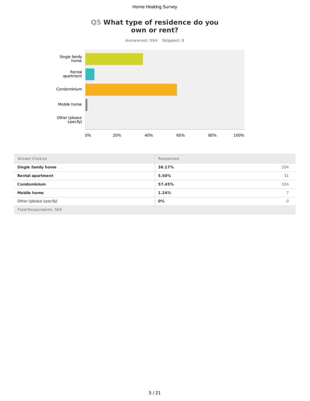# **Q5 What type of residence do you** own or rent?

Answered: 564 Skipped: 8



| Answer Choices            | Responses |          |
|---------------------------|-----------|----------|
| <b>Single family home</b> | 36.17%    | 204      |
| <b>Rental apartment</b>   | 5.50%     | 31       |
| Condominium               | 57.45%    | 324      |
| <b>Mobile home</b>        | 1.24%     |          |
| Other (please specify)    | $0\%$     | $\Omega$ |
| Total Respondents: 564    |           |          |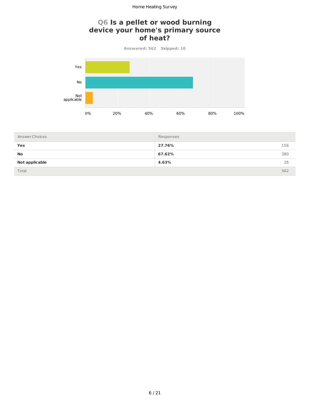# **Q6 Is a pellet or wood burning** device your home's primary source of heat?

Answered: 562 Skipped: 10



| Answer Choices | Responses |     |
|----------------|-----------|-----|
| Yes            | 27.76%    | 156 |
| <b>No</b>      | 67.62%    | 380 |
| Not applicable | 4.63%     | 26  |
| Total          |           | 562 |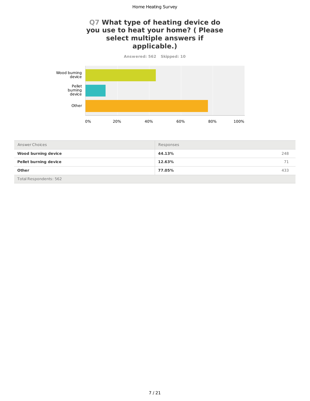# **Q7 What type of heating device do you use to heat your home?** ( Please select multiple answers if **applicable.)**

Answered: 562 Skipped: 10 Wood burning device Pellet burning device

Other

0% 20% 40% 60% 80% 100%

| Answer Choices               | Responses |     |
|------------------------------|-----------|-----|
| <b>Wood burning device</b>   | 44.13%    | 248 |
| <b>Pellet burning device</b> | 12.63%    | 71  |
| <b>Other</b>                 | 77.05%    | 433 |
| Total Respondents: 562       |           |     |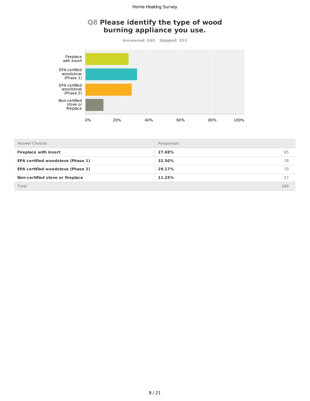# **Q8 Please identify the type of wood burning appliance you use.**

**Answered: 240 Skipped: 332**



| Answer Choices                           | Responses |     |
|------------------------------------------|-----------|-----|
| <b>Fireplace with insert</b>             | 27.08%    | 65  |
| <b>EPA certified woodstove (Phase 1)</b> | 32.50%    | 78  |
| <b>EPA certified woodstove (Phase 2)</b> | 29.17%    | 70  |
| Non-certified stove or fireplace         | 11.25%    | 27  |
| Total                                    |           | 240 |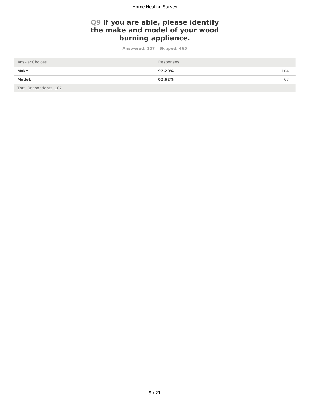### **Q9 If you are able, please identify** the make and model of your wood **burning appliance.**

Answered: 107 Skipped: 465

| Answer Choices         | Responses |     |
|------------------------|-----------|-----|
| <b>Make:</b>           | 97.20%    | 104 |
| Model:                 | 62.62%    | 67  |
| Total Respondents: 107 |           |     |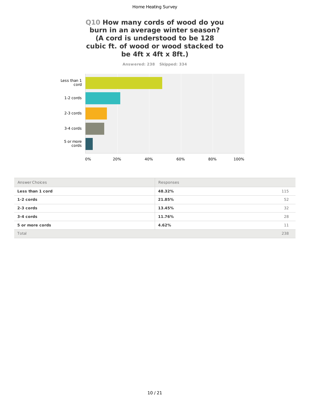#### **Q10 How many cords of wood do you burn in an average winter season? (A cord is understood to be 128** cubic ft. of wood or wood stacked to **be 4ft x 4ft x 8ft.)**

**Answered: 238 Skipped: 334**



| Answer Choices   | Responses |     |
|------------------|-----------|-----|
| Less than 1 cord | 48.32%    | 115 |
| 1-2 cords        | 21.85%    | 52  |
| 2-3 cords        | 13.45%    | 32  |
| 3-4 cords        | 11.76%    | 28  |
| 5 or more cords  | 4.62%     | 11  |
| Total            |           | 238 |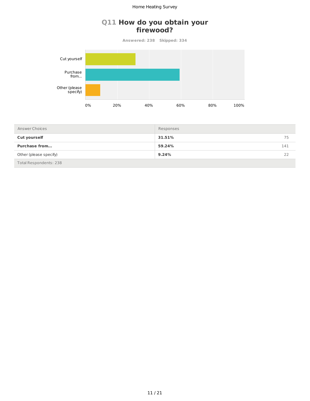#### **Q11 How do you obtain your firewood?**

**Answered: 238 Skipped: 334**



| Answer Choices         | Responses     |
|------------------------|---------------|
| <b>Cut yourself</b>    | 31.51%<br>75  |
| <b>Purchase from</b>   | 59.24%<br>141 |
| Other (please specify) | 9.24%<br>22   |
| Total Respondents: 238 |               |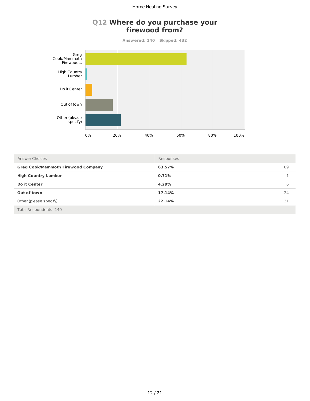#### **Q12 Where do you purchase your firewood from?**

**Answered: 140 Skipped: 432**



| Answer Choices                            | Responses |    |
|-------------------------------------------|-----------|----|
| <b>Greg Cook/Mammoth Firewood Company</b> | 63.57%    | 89 |
| <b>High Country Lumber</b>                | 0.71%     |    |
| Do it Center                              | 4.29%     | 6  |
| Out of town                               | 17.14%    | 24 |
| Other (please specify)                    | 22.14%    | 31 |
| Total Respondents: 140                    |           |    |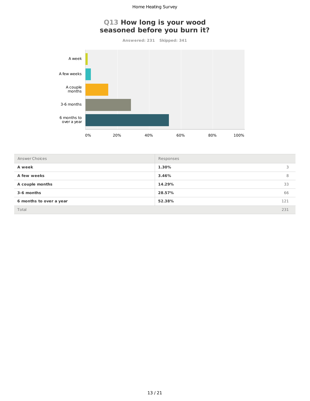# **Q13 How long is your wood** seasoned before you burn it?

**Answered: 231 Skipped: 341**



| Answer Choices          | Responses |     |
|-------------------------|-----------|-----|
| A week                  | 1.30%     |     |
| A few weeks             | 3.46%     | 8   |
| A couple months         | 14.29%    | 33  |
| 3-6 months              | 28.57%    | 66  |
| 6 months to over a year | 52.38%    | 121 |
| Total                   |           | 231 |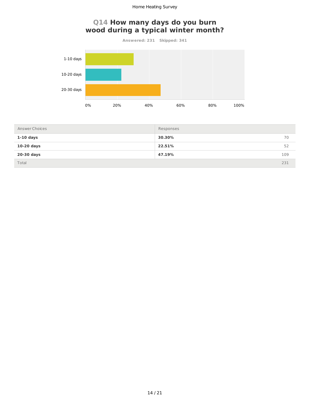# **Q14 How many days do you burn** wood during a typical winter month?

**Answered: 231 Skipped: 341**



| Answer Choices | Responses |     |
|----------------|-----------|-----|
| $1-10$ days    | 30.30%    | 70  |
| $10-20$ days   | 22.51%    | 52  |
| 20-30 days     | 47.19%    | 109 |
| Total          |           | 231 |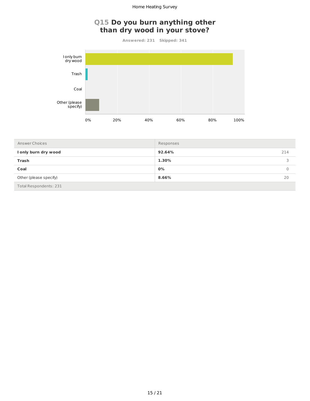# **Q15 Do you burn anything other** than dry wood in your stove?

**Answered: 231 Skipped: 341**



| Answer Choices                | Responses |     |
|-------------------------------|-----------|-----|
| I only burn dry wood          | 92.64%    | 214 |
| Trash                         | 1.30%     |     |
| Coal                          | 0%        |     |
| Other (please specify)        | 8.66%     | 20  |
| <b>Total Respondents: 231</b> |           |     |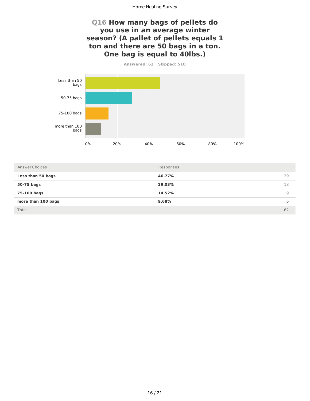## **Q16 How many bags of pellets do you use in an average winter** season? (A pallet of pellets equals 1 ton and there are 50 bags in a ton. **One bag is equal to 40lbs.)**

Answered: 62 Skipped: 510



| Answer Choices     | Responses |    |
|--------------------|-----------|----|
| Less than 50 bags  | 46.77%    | 29 |
| 50-75 bags         | 29.03%    | 18 |
| 75-100 bags        | 14.52%    | 9  |
| more than 100 bags | 9.68%     | b  |
| Total              |           | 62 |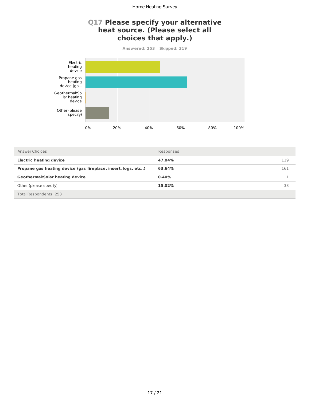### **Q17 Please specify your alternative** heat source. (Please select all **choices that apply.)**

**Answered: 253 Skipped: 319**



| Answer Choices                                                  | Responses |     |
|-----------------------------------------------------------------|-----------|-----|
| <b>Electric heating device</b>                                  | 47.04%    | 119 |
| Propane gas heating device (gas fireplace, insert, logs, etc,.) | 63.64%    | 161 |
| <b>Geothermal/Solar heating device</b>                          | 0.40%     |     |
| Other (please specify)                                          | 15.02%    | 38  |
| Total Respondents: 253                                          |           |     |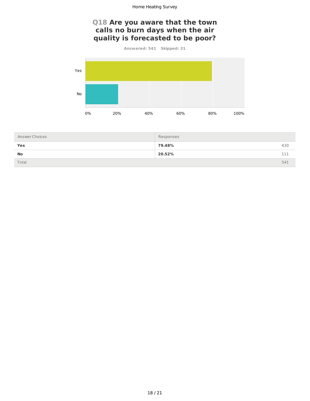# **Q18 Are you aware that the town** calls no burn days when the air **quality is forecasted to be poor?**

**Answered: 541 Skipped: 31**



| Answer Choices | Responses |     |
|----------------|-----------|-----|
| Yes            | 79.48%    | 430 |
| <b>No</b>      | 20.52%    | 111 |
| Total          |           | 541 |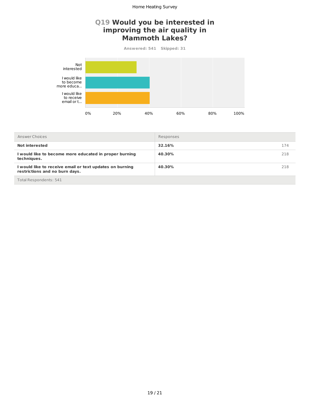### **Q19 Would you be interested in** improving the air quality in **Mammoth Lakes?**

**Answered: 541 Skipped: 31**



| Answer Choices                                                                             | Responses |     |
|--------------------------------------------------------------------------------------------|-----------|-----|
| <b>Not interested</b>                                                                      | 32.16%    | 174 |
| I would like to become more educated in proper burning<br>techniques.                      | 40.30%    | 218 |
| I would like to receive email or text updates on burning<br>restrictions and no burn days. | 40.30%    | 218 |
| Total Recnondents: 5/11                                                                    |           |     |

Total Respondent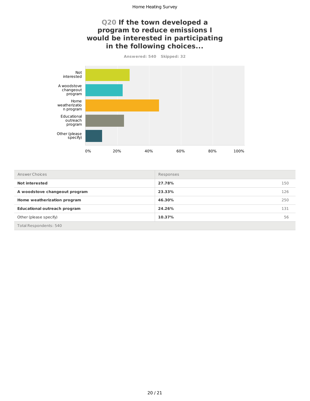# **Q20 If the town developed a** program to reduce emissions I **would be interested in participating** in the following choices...

Answered: 540 Skipped: 32



| Answer Choices                      | Responses |     |
|-------------------------------------|-----------|-----|
| Not interested                      | 27.78%    | 150 |
| A woodstove changeout program       | 23.33%    | 126 |
| Home weatherization program         | 46.30%    | 250 |
| <b>Educational outreach program</b> | 24.26%    | 131 |
| Other (please specify)              | 10.37%    | 56  |
| Total Respondents: 540              |           |     |